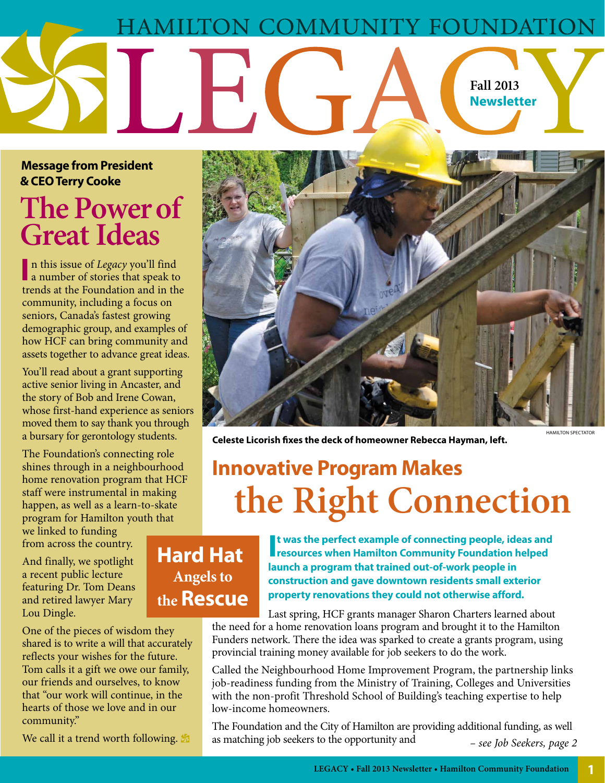# F **Fall 2013 Newsletter**

#### **Message from President & CEO Terry Cooke**

## **The Power of Great Ideas**

**1** In this issue of *Legacy* you'll find a number of stories that speak to n this issue of *Legacy* you'll find trends at the Foundation and in the community, including a focus on seniors, Canada's fastest growing demographic group, and examples of how HCF can bring community and assets together to advance great ideas.

You'll read about a grant supporting active senior living in Ancaster, and the story of Bob and Irene Cowan, whose first-hand experience as seniors moved them to say thank you through a bursary for gerontology students.

The Foundation's connecting role shines through in a neighbourhood home renovation program that HCF staff were instrumental in making happen, as well as a learn-to-skate program for Hamilton youth that we linked to funding from across the country.

And finally, we spotlight a recent public lecture featuring Dr. Tom Deans and retired lawyer Mary Lou Dingle.

One of the pieces of wisdom they shared is to write a will that accurately reflects your wishes for the future. Tom calls it a gift we owe our family, our friends and ourselves, to know that "our work will continue, in the hearts of those we love and in our community."

We call it a trend worth following.



**Celeste Licorish fixes the deck of homeowner Rebecca Hayman, left.** HAMILTON SPECTATOR

# **Innovative Program Makes the Right Connection**

### **Hard Hat Angels to the Rescue**

**I** t was the perfect example of connecting people, ideas and resources when Hamilton Community Foundation helped **t was the perfect example of connecting people, ideas and launch a program that trained out-of-work people in construction and gave downtown residents small exterior property renovations they could not otherwise afford.** 

Last spring, HCF grants manager Sharon Charters learned about the need for a home renovation loans program and brought it to the Hamilton Funders network. There the idea was sparked to create a grants program, using provincial training money available for job seekers to do the work.

Called the Neighbourhood Home Improvement Program, the partnership links job-readiness funding from the Ministry of Training, Colleges and Universities with the non-profit Threshold School of Building's teaching expertise to help low-income homeowners.

*– see Job Seekers, page 2* The Foundation and the City of Hamilton are providing additional funding, as well as matching job seekers to the opportunity and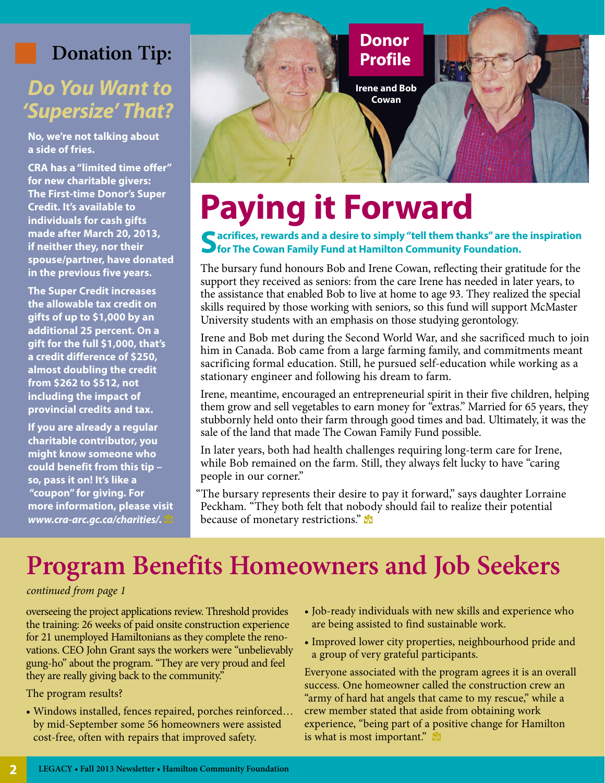### **Donation Tip:**

### *Do You Want to 'Supersize' That?*

**No, we're not talking about a side of fries.** 

**CRA has a "limited time offer" for new charitable givers: The First-time Donor's Super Credit. It's available to individuals for cash gifts made after March 20, 2013, if neither they, nor their spouse/partner, have donated in the previous five years.** 

**The Super Credit increases the allowable tax credit on gifts of up to \$1,000 by an additional 25 percent. On a gift for the full \$1,000, that's a credit difference of \$250, almost doubling the credit from \$262 to \$512, not including the impact of provincial credits and tax.** 

**If you are already a regular charitable contributor, you might know someone who could benefit from this tip – so, pass it on! It's like a "coupon" for giving. For more information, please visit**  *www.cra-arc.gc.ca/charities/.*



# **Paying it Forward**

#### **Sacrifices, rewards and a desire to simply "tell them thanks" are the inspiration** *of* for The Cowan Family Fund at Hamilton Community Foundation.

The bursary fund honours Bob and Irene Cowan, reflecting their gratitude for the support they received as seniors: from the care Irene has needed in later years, to the assistance that enabled Bob to live at home to age 93. They realized the special skills required by those working with seniors, so this fund will support McMaster University students with an emphasis on those studying gerontology.

Irene and Bob met during the Second World War, and she sacrificed much to join him in Canada. Bob came from a large farming family, and commitments meant sacrificing formal education. Still, he pursued self-education while working as a stationary engineer and following his dream to farm.

Irene, meantime, encouraged an entrepreneurial spirit in their five children, helping them grow and sell vegetables to earn money for "extras." Married for 65 years, they stubbornly held onto their farm through good times and bad. Ultimately, it was the sale of the land that made The Cowan Family Fund possible.

In later years, both had health challenges requiring long-term care for Irene, while Bob remained on the farm. Still, they always felt lucky to have "caring people in our corner."

 "The bursary represents their desire to pay it forward," says daughter Lorraine Peckham. "They both felt that nobody should fail to realize their potential because of monetary restrictions."

## **Program Benefits Homeowners and Job Seekers**

#### *continued from page 1*

overseeing the project applications review. Threshold provides the training: 26 weeks of paid onsite construction experience for 21 unemployed Hamiltonians as they complete the renovations. CEO John Grant says the workers were "unbelievably gung-ho" about the program. "They are very proud and feel they are really giving back to the community."

#### The program results?

- Windows installed, fences repaired, porches reinforced… by mid-September some 56 homeowners were assisted cost-free, often with repairs that improved safety.
- Job-ready individuals with new skills and experience who are being assisted to find sustainable work.
- Improved lower city properties, neighbourhood pride and a group of very grateful participants.

Everyone associated with the program agrees it is an overall success. One homeowner called the construction crew an "army of hard hat angels that came to my rescue," while a crew member stated that aside from obtaining work experience, "being part of a positive change for Hamilton is what is most important."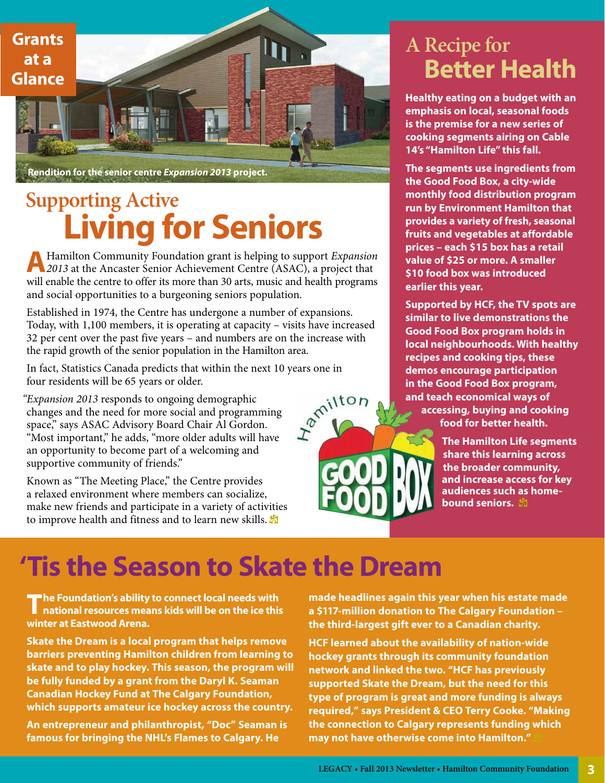

# **Supporting Active Living for Seniors**

**A**Hamilton Community Foundation grant is helping to support *Expansion 2013* at the Ancaster Senior Achievement Centre (ASAC), a project that will enable the centre to offer its more than 30 arts, music and health programs and social opportunities to a burgeoning seniors population.

Established in 1974, the Centre has undergone a number of expansions. Today, with 1,100 members, it is operating at capacity – visits have increased 32 per cent over the past five years – and numbers are on the increase with the rapid growth of the senior population in the Hamilton area.

four residents will be 65 years or older.

In fact, Statistics Canada predicts that within the next 10 years one in<br>four residents will be 65 years or older.<br>Expansion 2013 responds to ongoing demographic<br>changes and the need for more social and programming<br>space,  *"Expansion 2013* responds to ongoing demographic changes and the need for more social and programming space," says ASAC Advisory Board Chair Al Gordon. "Most important," he adds, "more older adults will have an opportunity to become part of a welcoming and supportive community of friends."

Known as "The Meeting Place," the Centre provides a relaxed environment where members can socialize, make new friends and participate in a variety of activities to improve health and fitness and to learn new skills.  $\frac{1}{2}$ 

## **A Recipe for Better Health**

**Healthy eating on a budget with an emphasis on local, seasonal foods is the premise for a new series of cooking segments airing on Cable 14's "Hamilton Life" this fall.**

**The segments use ingredients from the Good Food Box, a city-wide monthly food distribution program run by Environment Hamilton that provides a variety of fresh, seasonal fruits and vegetables at affordable prices – each \$15 box has a retail value of \$25 or more. A smaller \$10 food box was introduced earlier this year.** 

**Supported by HCF, the TV spots are similar to live demonstrations the Good Food Box program holds in local neighbourhoods. With healthy recipes and cooking tips, these demos encourage participation in the Good Food Box program, and teach economical ways of accessing, buying and cooking** 

**food for better health.** 

**The Hamilton Life segments share this learning across the broader community, and increase access for key audiences such as homebound seniors.** 

# **'Tis the Season to Skate the Dream**

**The Foundation's ability to connect local needs with national resources means kids will be on the ice this winter at Eastwood Arena.**

**Skate the Dream is a local program that helps remove barriers preventing Hamilton children from learning to skate and to play hockey. This season, the program will be fully funded by a grant from the Daryl K. Seaman Canadian Hockey Fund at The Calgary Foundation, which supports amateur ice hockey across the country.** 

**An entrepreneur and philanthropist, "Doc" Seaman is famous for bringing the NHL's Flames to Calgary. He** 

**made headlines again this year when his estate made a \$117-million donation to The Calgary Foundation – the third-largest gift ever to a Canadian charity.** 

**HCF learned about the availability of nation-wide hockey grants through its community foundation network and linked the two. "HCF has previously supported Skate the Dream, but the need for this type of program is great and more funding is always required," says President & CEO Terry Cooke. "Making the connection to Calgary represents funding which may not have otherwise come into Hamilton."**